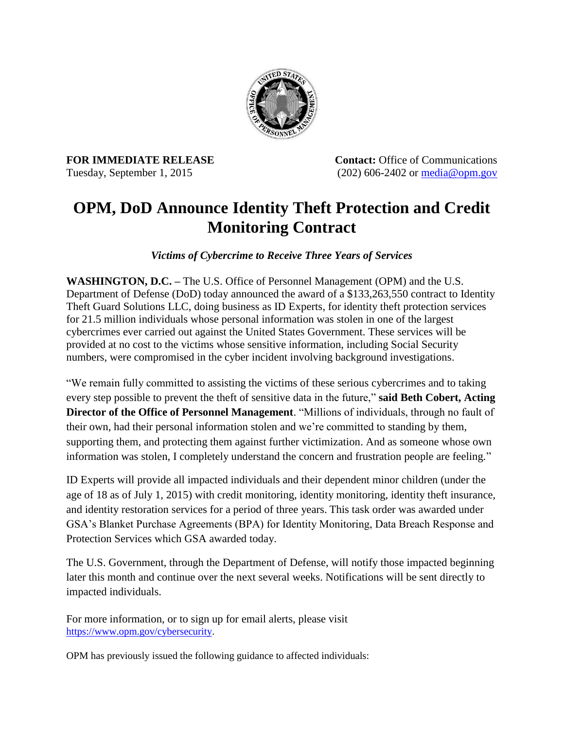

**FOR IMMEDIATE RELEASE Contact:** Office of Communications Tuesday, September 1, 2015 (202) 606-2402 or [media@opm.gov](mailto:media@opm.gov)

# **OPM, DoD Announce Identity Theft Protection and Credit Monitoring Contract**

*Victims of Cybercrime to Receive Three Years of Services*

**WASHINGTON, D.C. –** The U.S. Office of Personnel Management (OPM) and the U.S. Department of Defense (DoD) today announced the award of a \$133,263,550 contract to Identity Theft Guard Solutions LLC, doing business as ID Experts, for identity theft protection services for 21.5 million individuals whose personal information was stolen in one of the largest cybercrimes ever carried out against the United States Government. These services will be provided at no cost to the victims whose sensitive information, including Social Security numbers, were compromised in the cyber incident involving background investigations.

"We remain fully committed to assisting the victims of these serious cybercrimes and to taking every step possible to prevent the theft of sensitive data in the future," **said Beth Cobert, Acting Director of the Office of Personnel Management**. "Millions of individuals, through no fault of their own, had their personal information stolen and we're committed to standing by them, supporting them, and protecting them against further victimization. And as someone whose own information was stolen, I completely understand the concern and frustration people are feeling."

ID Experts will provide all impacted individuals and their dependent minor children (under the age of 18 as of July 1, 2015) with credit monitoring, identity monitoring, identity theft insurance, and identity restoration services for a period of three years. This task order was awarded under GSA's Blanket Purchase Agreements (BPA) for Identity Monitoring, Data Breach Response and Protection Services which GSA awarded today.

The U.S. Government, through the Department of Defense, will notify those impacted beginning later this month and continue over the next several weeks. Notifications will be sent directly to impacted individuals.

For more information, or to sign up for email alerts, please visit [https://www.opm.gov/cybersecurity.](https://www.opm.gov/cybersecurity)

OPM has previously issued the following guidance to affected individuals: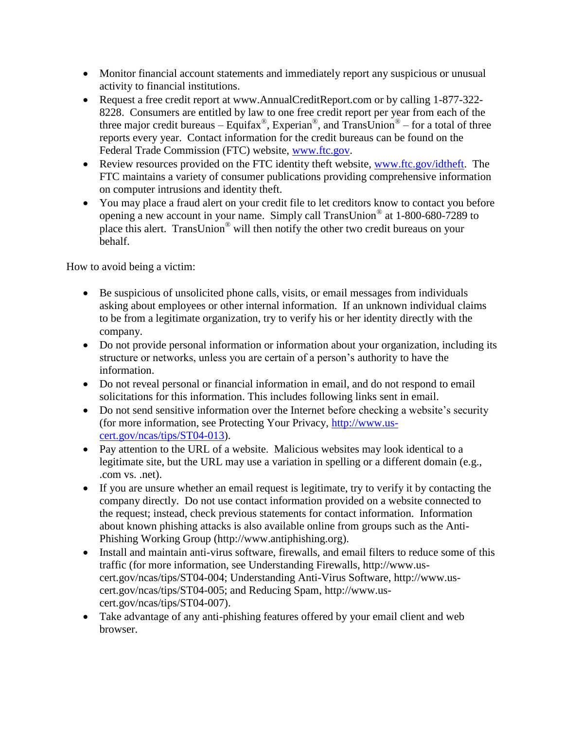- Monitor financial account statements and immediately report any suspicious or unusual activity to financial institutions.
- Request a free credit report at www.AnnualCreditReport.com or by calling 1-877-322-8228. Consumers are entitled by law to one free credit report per year from each of the three major credit bureaus – Equifax<sup>®</sup>, Experian<sup>®</sup>, and TransUnion<sup>®</sup> – for a total of three reports every year. Contact information for the credit bureaus can be found on the Federal Trade Commission (FTC) website, [www.ftc.gov.](http://www.ftc.gov/)
- Review resources provided on the FTC identity theft website, [www.ftc.gov/idtheft.](http://www.ftc.gov/idtheft) The FTC maintains a variety of consumer publications providing comprehensive information on computer intrusions and identity theft.
- You may place a fraud alert on your credit file to let creditors know to contact you before opening a new account in your name. Simply call TransUnion® at 1-800-680-7289 to place this alert. TransUnion® will then notify the other two credit bureaus on your behalf.

How to avoid being a victim:

- Be suspicious of unsolicited phone calls, visits, or email messages from individuals asking about employees or other internal information. If an unknown individual claims to be from a legitimate organization, try to verify his or her identity directly with the company.
- Do not provide personal information or information about your organization, including its structure or networks, unless you are certain of a person's authority to have the information.
- Do not reveal personal or financial information in email, and do not respond to email solicitations for this information. This includes following links sent in email.
- Do not send sensitive information over the Internet before checking a website's security (for more information, see Protecting Your Privacy, [http://www.us](http://www.us-cert.gov/ncas/tips/ST04-013)[cert.gov/ncas/tips/ST04-013\)](http://www.us-cert.gov/ncas/tips/ST04-013).
- Pay attention to the URL of a website. Malicious websites may look identical to a legitimate site, but the URL may use a variation in spelling or a different domain (e.g., .com vs. .net).
- If you are unsure whether an email request is legitimate, try to verify it by contacting the company directly. Do not use contact information provided on a website connected to the request; instead, check previous statements for contact information. Information about known phishing attacks is also available online from groups such as the Anti-Phishing Working Group (http://www.antiphishing.org).
- Install and maintain anti-virus software, firewalls, and email filters to reduce some of this traffic (for more information, see Understanding Firewalls, http://www.uscert.gov/ncas/tips/ST04-004; Understanding Anti-Virus Software, http://www.uscert.gov/ncas/tips/ST04-005; and Reducing Spam, http://www.uscert.gov/ncas/tips/ST04-007).
- Take advantage of any anti-phishing features offered by your email client and web browser.